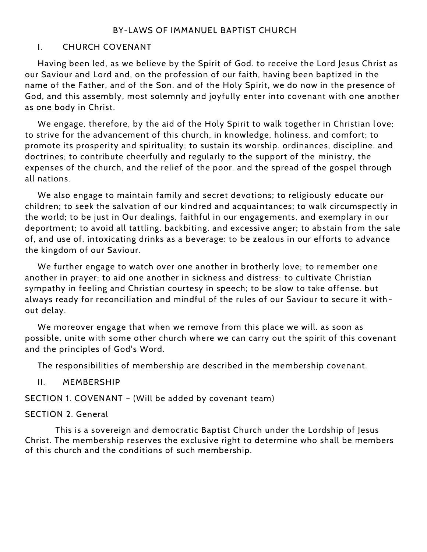### BY-LAWS OF IMMANUEL BAPTIST CHURCH

#### I. CHURCH COVENANT

Having been led, as we believe by the Spirit of God. to receive the Lord Jesus Christ as our Saviour and Lord and, on the profession of our faith, having been baptized in the name of the Father, and of the Son. and of the Holy Spirit, we do now in the presence of God, and this assembly, most solemnly and joyfully enter into covenant with one another as one body in Christ.

We engage, therefore, by the aid of the Holy Spirit to walk together in Christian love; to strive for the advancement of this church, in knowledge, holiness. and comfort; to promote its prosperity and spirituality; to sustain its worship. ordinances, discipline. and doctrines; to contribute cheerfully and regularly to the support of the ministry, the expenses of the church, and the relief of the poor. and the spread of the gospel through all nations.

We also engage to maintain family and secret devotions; to religiously educate our children; to seek the salvation of our kindred and acquai ntances; to walk circumspectly in the world; to be just in Our dealings, faithful in our engagements, and exemplary in our deportment; to avoid all tattling. backbiting, and excessive anger; to abstain from the sale of, and use of, intoxicating drinks as a beverage: to be zealous in our efforts to advance the kingdom of our Saviour.

We further engage to watch over one another in brotherly love; to remember one another in prayer; to aid one another in sickness and distress: to cultivate Christian sympathy in feeling and Christian courtesy in speech; to be slow to take offense. but always ready for reconciliation and mindful of the rules of our Saviour to secure it with out delay.

We moreover engage that when we remove from this place we will. as soon as possible, unite with some other church where we can carry out the spirit of this covenant and the principles of God's Word.

The responsibilities of membership are described in the membership covenant.

II. MEMBERSHIP

SECTION 1. COVENANT – (Will be added by covenant team)

#### SECTION 2. General

 This is a sovereign and democratic Baptist Church under the Lordship of Jesus Christ. The membership reserves the exclusive right to determine who shall be members of this church and the conditions of such membership.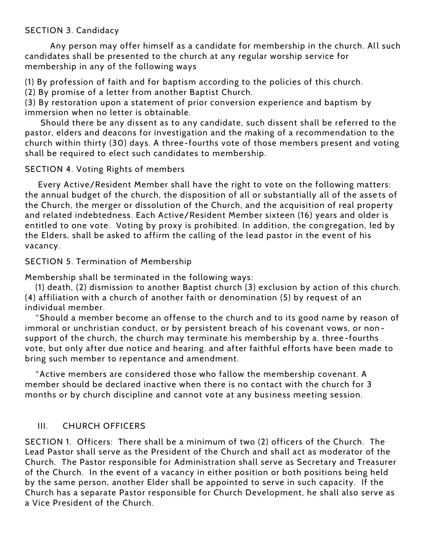## SECTION 3. Candidacy

Any person may offer himself as a candidate for membership in the church. All such candidates shall be presented to the church at any regular worship service for membership in any of the following ways

(1) By profession of faith and for baptism according to the policies of this church.

(2) By promise of a letter from another Baptist Church.

(3) By restoration upon a statement of prior conversion experience and baptism by immersion when no letter is obtainable.

 Should there be any dissent as to any candidate, such dissent shall be referred to the pastor, elders and deacons for investigation and the making of a recommendation to the church within thirty (30) days. A three-fourths vote of those members present and voting shall be required to elect such candidates to membership.

SECTION 4. Voting Rights of members

 Every Active/Resident Member shall have the right to vote on the following matters: the annual budget of the church, the disposition of all or substantially all of the asse ts of the Church, the merger or dissolution of the Church, and the acquisition of real property and related indebtedness. Each Active/Resident Member sixteen (16) years and older is entitled to one vote. Voting by proxy is prohibited. In addition, the congregation, led by the Elders, shall be asked to affirm the calling of the lead pastor in the event of his vacancy.

## SECTION 5. Termination of Membership

Membership shall be terminated in the following ways:

 (1) death, (2) dismission to another Baptist church (3) exclusion by action of this church. (4) affiliation with a church of another faith or denomination (5) by request of an individual member.

 \*Should a member become an offense to the church and to its good name by reason of immoral or unchristian conduct, or by persistent breach of his covenant vows, or non support of the church, the church may terminate his membership by a. three -fourths vote, but only after due notice and hearing. and after faithful efforts have been made to bring such member to repentance and amendment.

 \*Active members are considered those who fallow the membership covenant. A member should be declared inactive when there is no contact with the church for 3 months or by church discipline and cannot vote at any business meeting session.

## III. CHURCH OFFICERS

SECTION 1. Officers: There shall be a minimum of two (2) officers of the Church. The Lead Pastor shall serve as the President of the Church and shall act as moderator of the Church. The Pastor responsible for Administration shall serve as Secretary and Treasurer of the Church. In the event of a vacancy in either position or both positions being held by the same person, another Elder shall be appointed to serve in such capacity. If the Church has a separate Pastor responsible for Church Development, he shall also serve as a Vice President of the Church.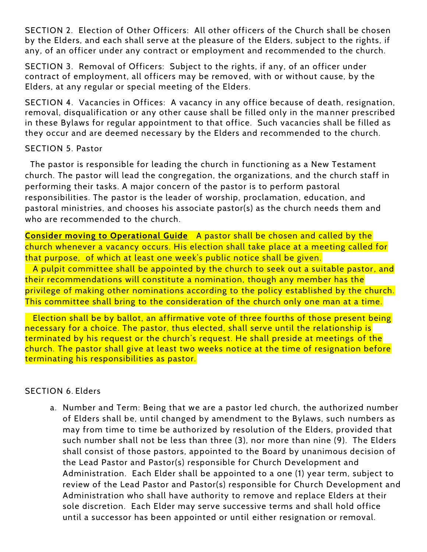SECTION 2. Election of Other Officers: All other officers of the Church shall be chosen by the Elders, and each shall serve at the pleasure of the Elders, subject to the rights, if any, of an officer under any contract or employment and recommended to the church.

SECTION 3. Removal of Officers: Subject to the rights, if any, of an officer under contract of employment, all officers may be remov ed, with or without cause, by the Elders, at any regular or special meeting of the Elders.

SECTION 4. Vacancies in Offices: A vacancy in any office because of death, resignation, removal, disqualification or any other cause shall be filled only in the ma nner prescribed in these Bylaws for regular appointment to that office. Such vacancies shall be filled as they occur and are deemed necessary by the Elders and recommended to the church.

### SECTION 5. Pastor

 The pastor is responsible for leading the church in functioning as a New Testament church. The pastor will lead the congregation, the organizations, and the church staff in performing their tasks. A major concern of the pastor is to perform pastoral responsibilities. The pastor is the leader of worship, proclamation, education, and pastoral ministries, and chooses his associate pastor(s) as the church needs them and who are recommended to the church.

**Consider moving to Operational Guide** A pastor shall be chosen and called by the church whenever a vacancy occurs. His election shall take place at a meeting called for that purpose, of which at least one week's public notice shall be given.

 A pulpit committee shall be appointed by the church to seek out a suitable pastor, and their recommendations will constitute a nomination, though any member has the privilege of making other nominations according to the policy established by the church. This committee shall bring to the consideration of the church only one man at a time.

 Election shall be by ballot, an affirmative vote of three fourths of those present being necessary for a choice. The pastor, thus elected, shall serve until the relationship is terminated by his request or the church's request. He shall preside at meetings of the church. The pastor shall give at least two weeks notice at the time of resignation before terminating his responsibilities as pastor.

## SECTION 6. Elders

a. Number and Term: Being that we are a pastor led church, the authorized number of Elders shall be, until changed by amendment to the Bylaws, such numbers as may from time to time be authorized by resolution of the Elders, provided that such number shall not be less than three (3), nor more than nine (9). The Elders shall consist of those pastors, appointed to the Board by unanimous decision of the Lead Pastor and Pastor(s) responsible for Church Development and Administration. Each Elder shall be appointed to a one (1) year term, subject to review of the Lead Pastor and Pastor(s) responsible for Church Development and Administration who shall have authority to remove and replace Elders at their sole discretion. Each Elder may serve successive terms and shall hold office until a successor has been appointed or until either resignation or removal.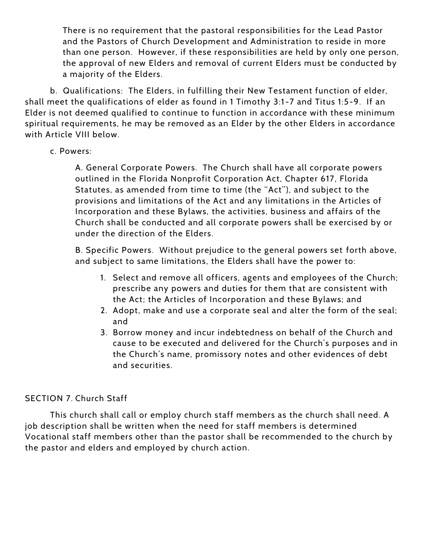There is no requirement that the pastoral responsibilities for the Lead Pastor and the Pastors of Church Development and Administration to reside in more than one person. However, if these responsibilities are held by only one person, the approval of new Elders and removal of current Elders must be conducted by a majority of the Elders.

b. Qualifications: The Elders, in fulfilling their New Testament function of elder, shall meet the qualifications of elder as found in 1 Timothy 3:1 -7 and Titus 1:5-9. If an Elder is not deemed qualified to continue to function in accordance with these minimum spiritual requirements, he may be removed as an Elder by the other Elders in accordance with Article VIII below.

## c. Powers:

A. General Corporate Powers. The Church shall have all corporate powers outlined in the Florida Nonprofit Corporation Act, Chapter 617, Florida Statutes, as amended from time to time (the "Act"), and subject to the provisions and limitations of the Act and any limitations in the Articles of Incorporation and these Bylaws, the activities, business and affairs of the Church shall be conducted and all corporate powers shall be exercised by or under the direction of the Elders.

B. Specific Powers. Without prejudice to the general powers set forth above, and subject to same limitations, the Elders shall have the power to:

- 1. Select and remove all officers, agents and employees of the Church; prescribe any powers and duties for them that are consistent with the Act; the Articles of Incorporation and these Bylaws; and
- 2. Adopt, make and use a corporate seal and alter the form of the seal; and
- 3. Borrow money and incur indebtedness on behalf of the Church and cause to be executed and delivered for the Church's purposes and in the Church's name, promissory notes and other evidences of debt and securities.

## SECTION 7. Church Staff

This church shall call or employ church staff members as the church shall need. A job description shall be written when the need for staff members is determined Vocational staff members other than the pastor shall be recommended to the church by the pastor and elders and employed by church action.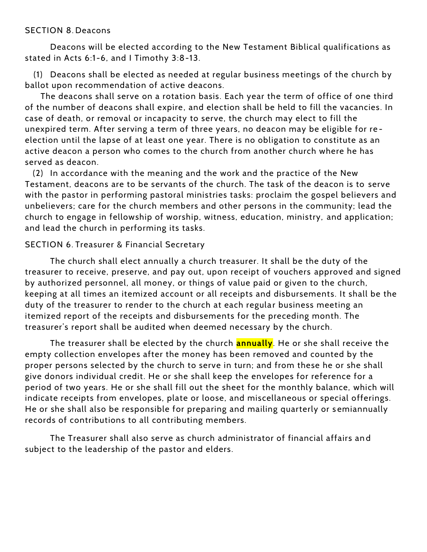#### SECTION 8. Deacons

Deacons will be elected according to the New Testament Biblical qualifications as stated in Acts 6:1-6, and I Timothy 3:8-13.

(1) Deacons shall be elected as needed at regular business meetings of the church by ballot upon recommendation of active deacons.

 The deacons shall serve on a rotation basis. Each year the term of office of one third of the number of deacons shall expire, and election shall be held to fill the vacancies. In case of death, or removal or incapacity to serve, the church may elect to fill the unexpired term. After serving a term of three years, no deacon may be eligible for re election until the lapse of at least one year. There is no obligation to constitute as an active deacon a person who comes to the church from another church where he has served as deacon.

 (2) In accordance with the meaning and the work and the practice of the New Testament, deacons are to be servants of the church. The task of the deacon is to serve with the pastor in performing pastoral ministries tasks: proclaim the gospel believers and unbelievers; care for the church members and other persons in the community; lead the church to engage in fellowship of worship, witness, education, ministry, and application; and lead the church in performing its tasks.

#### SECTION 6. Treasurer & Financial Secretary

The church shall elect annually a church treasurer. It shall be the duty of the treasurer to receive, preserve, and pay out, upon receipt of vouchers approved and signed by authorized personnel, all money, or things of value paid or given to the church, keeping at all times an itemized account or all receipts and disbursements. It shall be the duty of the treasurer to render to the church at each regular business meeting an itemized report of the receipts and disbursements for the preceding month. The treasurer's report shall be audited when deemed necessary by the church.

The treasurer shall be elected by the church **annually**. He or she shall receive the empty collection envelopes after the money has been removed and counted by the proper persons selected by the church to serve in turn; and from these he or she shall give donors individual credit. He or she shall keep the envelopes for reference for a period of two years. He or she shall fill out the sheet for the monthly balance, which will indicate receipts from envelopes, plate or loose, and miscellaneous or special offerings. He or she shall also be responsible for preparing and mailing quarterly or semiannually records of contributions to all contributing members.

The Treasurer shall also serve as church administrator of financial affairs an d subject to the leadership of the pastor and elders.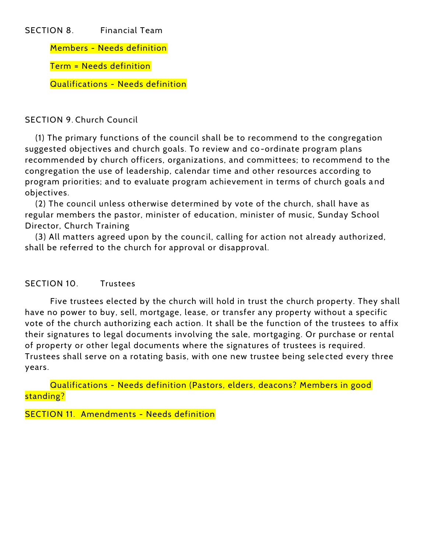SECTION 8. Financial Team

Members - Needs definition

Term = Needs definition

Qualifications - Needs definition

## SECTION 9. Church Council

 (1) The primary functions of the council shall be to recommend to the congregation suggested objectives and church goals. To review and co -ordinate program plans recommended by church officers, organizations, and committees; to recommend to the congregation the use of leadership, calendar time and other resources according to program priorities; and to evaluate program achievement in terms of church goals a nd objectives.

 (2) The council unless otherwise determined by vote of the church, shall have as regular members the pastor, minister of education, minister of music, Sunday School Director, Church Training

(3) All matters agreed upon by the council, calling for action not already authorized, shall be referred to the church for approval or disapproval.

## SECTION 10. Trustees

Five trustees elected by the church will hold in trust the church property. They shall have no power to buy, sell, mortgage, lease, or transfer any property without a specific vote of the church authorizing each action. It shall be the function of the trustees to affix their signatures to legal documents involving the sale, mortgaging. Or purchase or rental of property or other legal documents where the signatures of trustees is required. Trustees shall serve on a rotating basis, with one new trustee being sele cted every three years.

Qualifications - Needs definition (Pastors, elders, deacons? Members in good standing?

SECTION 11. Amendments - Needs definition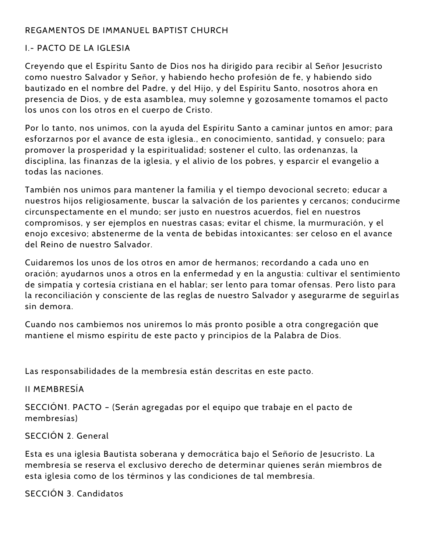## REGAMENTOS DE IMMANUEL BAPTIST CHURCH

## I.- PACTO DE LA IGLESIA

Creyendo que el Espíritu Santo de Dios nos ha dirigido para recibir al Señor Jesucristo como nuestro Salvador y Señor, y habiendo hecho profesión de fe, y habiendo sido bautizado en el nombre del Padre, y del Hijo, y del Espíritu Santo, nosotros ahora en presencia de Dios, y de esta asamblea, muy solemne y gozosamente tomamos el pacto los unos con los otros en el cuerpo de Cristo.

Por lo tanto, nos unimos, con la ayuda del Espíritu Santo a caminar juntos en amor; para esforzarnos por el avance de esta iglesia., en conocimiento, santidad, y consuelo; para promover la prosperidad y la espiritualidad; sostener el culto, las ordenanzas, la disciplina, las finanzas de la iglesia, y el alivio de los pobres, y esparcir el evangelio a todas las naciones.

También nos unimos para mantener la familia y el tiempo devocional secreto; educar a nuestros hijos religiosamente, buscar la salvación de los parientes y cercanos; conducirme circunspectamente en el mundo; ser justo en nuestros acuerdos, fiel en nuestros compromisos, y ser ejemplos en nuestras casa s; evitar el chisme, la murmuración, y el enojo excesivo; abstenerme de la venta de bebidas intoxicantes: ser celoso en el avance del Reino de nuestro Salvador.

Cuidaremos los unos de los otros en amor de hermanos; recordando a cada uno en oración; ayudarnos unos a otros en la enfermedad y en la angustia: cultivar el sentimiento de simpatía y cortesía cristiana en el hablar; ser lento para tomar ofensas. Pero listo para la reconciliación y consciente de las reglas de nuestro Salvador y asegurarme de seguirl as sin demora.

Cuando nos cambiemos nos uniremos lo más pronto posible a otra congregación que mantiene el mismo espíritu de este pacto y principios de la Palabra de Dios.

Las responsabilidades de la membresía están descritas en este pacto.

## II MEMBRESÍA

SECCIÓN1. PACTO – (Serán agregadas por el equipo que trabaje en el pacto de membresías)

#### SECCIÓN 2. General

Esta es una iglesia Bautista soberana y democrática bajo el Señorío de Jesucristo. La membresía se reserva el exclusivo derecho de determinar quienes serán miembros de esta iglesia como de los términos y las condiciones de tal membresía.

SECCIÓN 3. Candidatos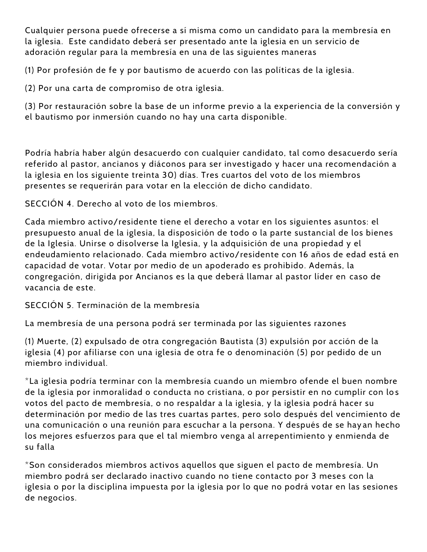Cualquier persona puede ofrecerse a sí misma como un candidato para la membresía en la iglesia. Este candidato deberá ser presentado ante la iglesia en un servicio de adoración regular para la membresía en una de las siguientes maneras

(1) Por profesión de fe y por bautismo de acuerdo con las políticas de la iglesia.

(2) Por una carta de compromiso de otra iglesia.

(3) Por restauración sobre la base de un informe previo a la experiencia de la conversión y el bautismo por inmersión cuando no hay una carta disponible.

Podría habría haber algún desacuerdo con cualquier candidato, tal como desacuerdo sería referido al pastor, ancianos y diáconos para ser investigado y hacer una recomendación a la iglesia en los siguiente treinta 30) días. Tres cuartos del voto de los miembros presentes se requerirán para votar en la elección de dicho candidato.

SECCIÓN 4. Derecho al voto de los miembros.

Cada miembro activo/residente tiene el derecho a votar en los siguientes asuntos: el presupuesto anual de la iglesia, la disposición de todo o la parte sustancial de los bienes de la Iglesia. Unirse o disolverse la Iglesia, y la adquisición de una propiedad y el endeudamiento relacionado. Cada miembro activo/residente con 16 años de edad está en capacidad de votar. Votar por medio de un apoderado es prohibido. Además, la congregación, dirigida por Ancianos es la que deberá llamar al pastor líder en caso de vacancia de este.

SECCIÓN 5. Terminación de la membresía

La membresía de una persona podrá ser terminada por las siguientes razones

(1) Muerte, (2) expulsado de otra congregación Bautista (3) expulsión por acción de la iglesia (4) por afiliarse con una iglesia de otra fe o denominación (5) por pedido de un miembro individual.

\*La iglesia podría terminar con la membresía cuando un miembro ofende el buen nombre de la iglesia por inmoralidad o conducta no cristiana, o por persistir en no cumplir con lo s votos del pacto de membresía, o no respaldar a la iglesia, y la iglesia podrá hacer su determinación por medio de las tres cuartas partes, pero solo después del vencimiento de una comunicación o una reunión para escuchar a la persona. Y después de se hay an hecho los mejores esfuerzos para que el tal miembro venga al arrepentimiento y enmienda de su falla

\*Son considerados miembros activos aquellos que siguen el pacto de membresía. Un miembro podrá ser declarado inactivo cuando no tiene contacto por 3 meses con la iglesia o por la disciplina impuesta por la iglesia por lo que no podrá votar en las sesiones de negocios.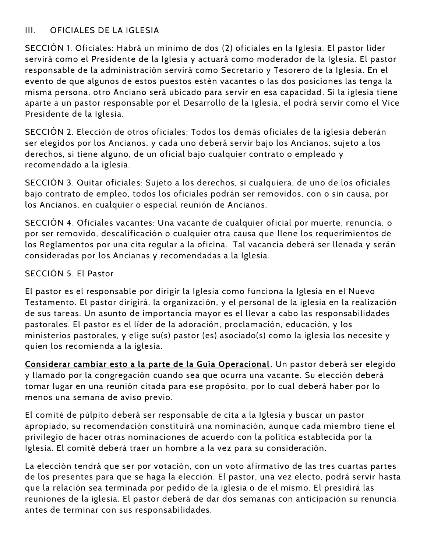## III. OFICIALES DE LA IGLESIA

SECCIÓN 1. Oficiales: Habrá un mínimo de dos (2) oficiales en la Iglesia. El pastor líder servirá como el Presidente de la Iglesia y actuará como moderador de la Iglesia. El pastor responsable de la administración servirá como Secretario y Tesorero de la Iglesia. En el evento de que algunos de estos puestos estén vacantes o las dos posiciones las tenga la misma persona, otro Anciano será ubicado para servir en esa capacidad. Si la iglesia tiene aparte a un pastor responsable por el Desarrollo de la Iglesia, el podrá servir como el Vice Presidente de la Iglesia.

SECCIÓN 2. Elección de otros oficiales: Todos los demás oficiales de la iglesia deberán ser elegidos por los Ancianos, y cada uno deberá servir bajo los Ancianos, sujeto a los derechos, si tiene alguno, de un oficial bajo cualquier contrato o empleado y recomendado a la iglesia.

SECCIÓN 3. Quitar oficiales: Sujeto a los derechos, si cualquiera, de uno de los oficiales bajo contrato de empleo, todos los oficiales podrán ser removidos, con o sin causa, por los Ancianos, en cualquier o especial reunión de Ancianos.

SECCIÓN 4. Oficiales vacantes: Una vacante de cualquier oficial por muerte, renuncia, o por ser removido, descalificación o cualquier otra causa que llene los requerimientos de los Reglamentos por una cita regular a la oficina. Tal vacancia deberá ser llenada y serán consideradas por los Ancianas y recomendadas a la Iglesia.

# SECCIÓN 5. El Pastor

El pastor es el responsable por dirigir la Iglesia como funciona la Iglesia en el Nuevo Testamento. El pastor dirigirá, la organización, y el personal de la iglesia en la realización de sus tareas. Un asunto de importancia mayor es el llevar a cabo las responsabilidades pastorales. El pastor es el líder de la adoración, proclamación, educación, y los ministerios pastorales, y elige su(s) pastor (es) asociado(s) como la iglesia los necesite y quien los recomienda a la iglesia.

**Considerar cambiar esto a la parte de la Guía Operacional.** Un pastor deberá ser elegido y llamado por la congregación cuando sea que ocurra una vacante. Su elección deberá tomar lugar en una reunión citada para ese propósito, por lo cual deberá haber por lo menos una semana de aviso previo.

El comité de púlpito deberá ser responsable de cita a la Iglesia y buscar un pastor apropiado, su recomendación constituirá una nominación, aunque cada miembro tiene el privilegio de hacer otras nominaciones de acuerdo con la política establecida por la Iglesia. El comité deberá traer un hombre a la vez para su consideración.

La elección tendrá que ser por votación, con un voto afirmativo de las tres cuartas partes de los presentes para que se haga la elección. El pastor, una vez electo, podrá servir hasta que la relación sea terminada por pedido de la iglesia o de el mismo. El presidirá las reuniones de la iglesia. El pastor deberá de dar dos semanas con anticipación su renuncia antes de terminar con sus responsabilidades.